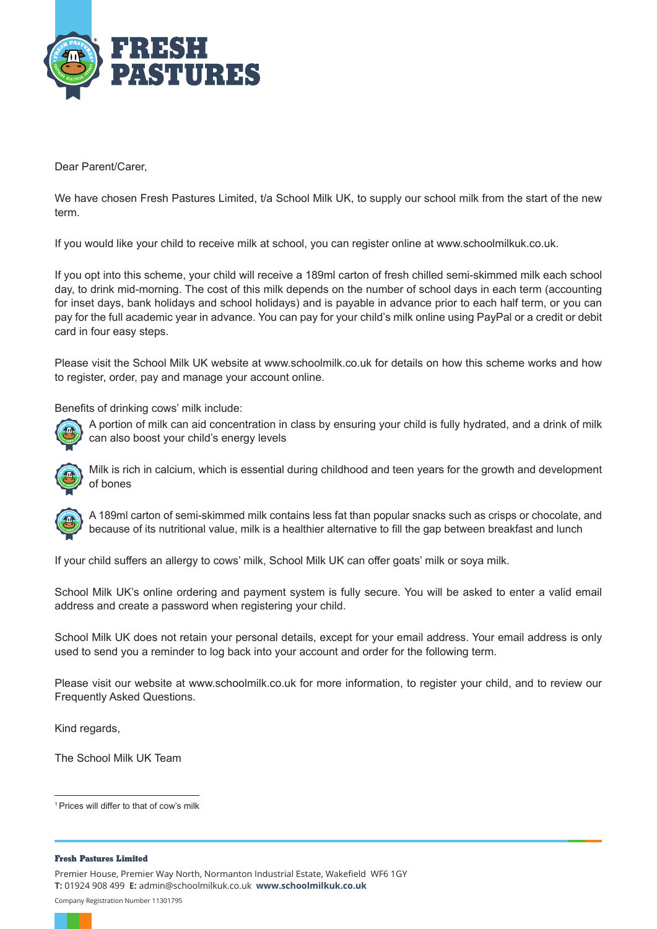

Dear Parent/Carer,

We have chosen Fresh Pastures Limited, t/a School Milk UK, to supply our school milk from the start of the new term.

If you would like your child to receive milk at school, you can register online at www.schoolmilkuk.co.uk.

If you opt into this scheme, your child will receive a 189ml carton of fresh chilled semi-skimmed milk each school day, to drink mid-morning. The cost of this milk depends on the number of school days in each term (accounting for inset days, bank holidays and school holidays) and is payable in advance prior to each half term, or you can pay for the full academic year in advance. You can pay for your child's milk online using PayPal or a credit or debit card in four easy steps.

Please visit the School Milk UK website at www.schoolmilk.co.uk for details on how this scheme works and how to register, order, pay and manage your account online.

Benefits of drinking cows' milk include:



A portion of milk can aid concentration in class by ensuring your child is fully hydrated, and a drink of milk can also boost your child's energy levels



Milk is rich in calcium, which is essential during childhood and teen years for the growth and development of bones

A 189ml carton of semi-skimmed milk contains less fat than popular snacks such as crisps or chocolate, and because of its nutritional value, milk is a healthier alternative to fill the gap between breakfast and lunch

If your child suffers an allergy to cows' milk, School Milk UK can offer goats' milk or soya milk.

School Milk UK's online ordering and payment system is fully secure. You will be asked to enter a valid email address and create a password when registering your child.

School Milk UK does not retain your personal details, except for your email address. Your email address is only used to send you a reminder to log back into your account and order for the following term.

Please visit our website at www.schoolmilk.co.uk for more information, to register your child, and to review our Frequently Asked Questions.

Kind regards,

The School Milk UK Team

1 Prices will differ to that of cow's milk

#### **Fresh Pastures Limited**

Premier House, Premier Way North, Normanton Industrial Estate, Wakefield WF6 1GY **T:** 01924 908 499 **E:** admin@schoolmilkuk.co.uk **www.schoolmilkuk.co.uk** Company Registration Number 11301795